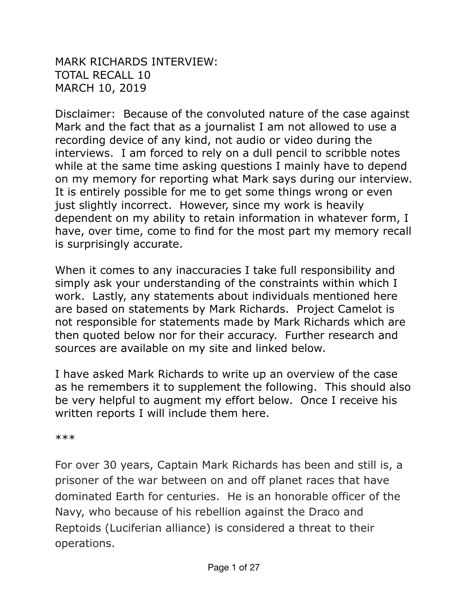### MARK RICHARDS INTERVIEW: TOTAL RECALL 10 MARCH 10, 2019

Disclaimer: Because of the convoluted nature of the case against Mark and the fact that as a journalist I am not allowed to use a recording device of any kind, not audio or video during the interviews. I am forced to rely on a dull pencil to scribble notes while at the same time asking questions I mainly have to depend on my memory for reporting what Mark says during our interview. It is entirely possible for me to get some things wrong or even just slightly incorrect. However, since my work is heavily dependent on my ability to retain information in whatever form, I have, over time, come to find for the most part my memory recall is surprisingly accurate.

When it comes to any inaccuracies I take full responsibility and simply ask your understanding of the constraints within which I work. Lastly, any statements about individuals mentioned here are based on statements by Mark Richards. Project Camelot is not responsible for statements made by Mark Richards which are then quoted below nor for their accuracy. Further research and sources are available on my site and linked below.

I have asked Mark Richards to write up an overview of the case as he remembers it to supplement the following. This should also be very helpful to augment my effort below. Once I receive his written reports I will include them here.

\*\*\*

For over 30 years, Captain Mark Richards has been and still is, a prisoner of the war between on and off planet races that have dominated Earth for centuries. He is an honorable officer of the Navy, who because of his rebellion against the Draco and Reptoids (Luciferian alliance) is considered a threat to their operations.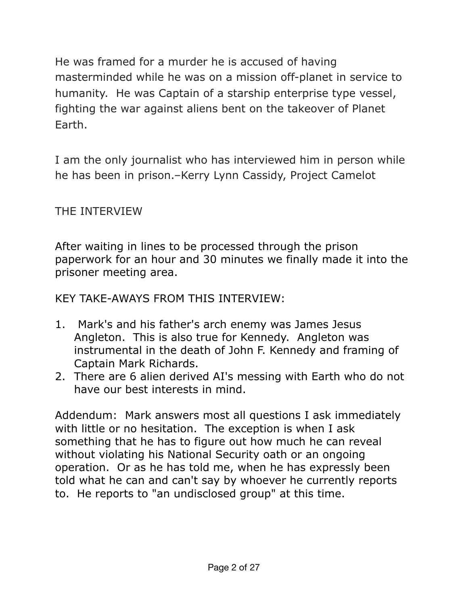He was framed for a murder he is accused of having masterminded while he was on a mission off-planet in service to humanity. He was Captain of a starship enterprise type vessel, fighting the war against aliens bent on the takeover of Planet Earth.

I am the only journalist who has interviewed him in person while he has been in prison.–Kerry Lynn Cassidy, Project Camelot

## THE INTERVIEW

After waiting in lines to be processed through the prison paperwork for an hour and 30 minutes we finally made it into the prisoner meeting area.

### KEY TAKE-AWAYS FROM THIS INTERVIEW:

- 1. Mark's and his father's arch enemy was James Jesus Angleton. This is also true for Kennedy. Angleton was instrumental in the death of John F. Kennedy and framing of Captain Mark Richards.
- 2. There are 6 alien derived AI's messing with Earth who do not have our best interests in mind.

Addendum: Mark answers most all questions I ask immediately with little or no hesitation. The exception is when I ask something that he has to figure out how much he can reveal without violating his National Security oath or an ongoing operation. Or as he has told me, when he has expressly been told what he can and can't say by whoever he currently reports to. He reports to "an undisclosed group" at this time.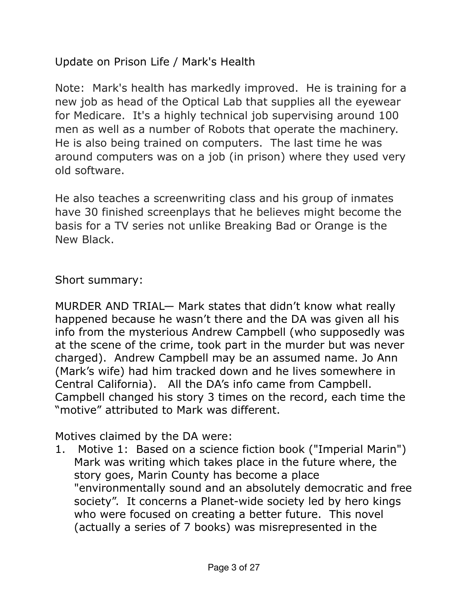Update on Prison Life / Mark's Health

Note: Mark's health has markedly improved. He is training for a new job as head of the Optical Lab that supplies all the eyewear for Medicare. It's a highly technical job supervising around 100 men as well as a number of Robots that operate the machinery. He is also being trained on computers. The last time he was around computers was on a job (in prison) where they used very old software.

He also teaches a screenwriting class and his group of inmates have 30 finished screenplays that he believes might become the basis for a TV series not unlike Breaking Bad or Orange is the New Black.

Short summary:

MURDER AND TRIAL— Mark states that didn't know what really happened because he wasn't there and the DA was given all his info from the mysterious Andrew Campbell (who supposedly was at the scene of the crime, took part in the murder but was never charged). Andrew Campbell may be an assumed name. Jo Ann (Mark's wife) had him tracked down and he lives somewhere in Central California). All the DA's info came from Campbell. Campbell changed his story 3 times on the record, each time the "motive" attributed to Mark was different.

Motives claimed by the DA were:

1. Motive 1: Based on a science fiction book ("Imperial Marin") Mark was writing which takes place in the future where, the story goes, Marin County has become a place "environmentally sound and an absolutely democratic and free society". It concerns a Planet-wide society led by hero kings who were focused on creating a better future. This novel (actually a series of 7 books) was misrepresented in the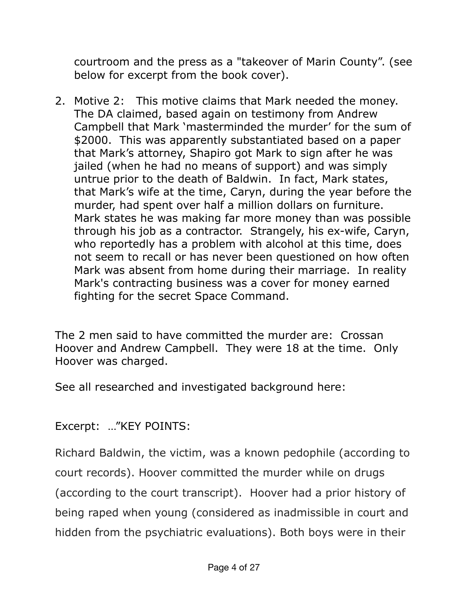courtroom and the press as a "takeover of Marin County". (see below for excerpt from the book cover).

2. Motive 2: This motive claims that Mark needed the money. The DA claimed, based again on testimony from Andrew Campbell that Mark 'masterminded the murder' for the sum of \$2000. This was apparently substantiated based on a paper that Mark's attorney, Shapiro got Mark to sign after he was jailed (when he had no means of support) and was simply untrue prior to the death of Baldwin. In fact, Mark states, that Mark's wife at the time, Caryn, during the year before the murder, had spent over half a million dollars on furniture. Mark states he was making far more money than was possible through his job as a contractor. Strangely, his ex-wife, Caryn, who reportedly has a problem with alcohol at this time, does not seem to recall or has never been questioned on how often Mark was absent from home during their marriage. In reality Mark's contracting business was a cover for money earned fighting for the secret Space Command.

The 2 men said to have committed the murder are: Crossan Hoover and Andrew Campbell. They were 18 at the time. Only Hoover was charged.

See all researched and investigated background here:

Excerpt: …"KEY POINTS:

Richard Baldwin, the victim, was a known pedophile (according to court records). Hoover committed the murder while on drugs (according to the court transcript). Hoover had a prior history of being raped when young (considered as inadmissible in court and hidden from the psychiatric evaluations). Both boys were in their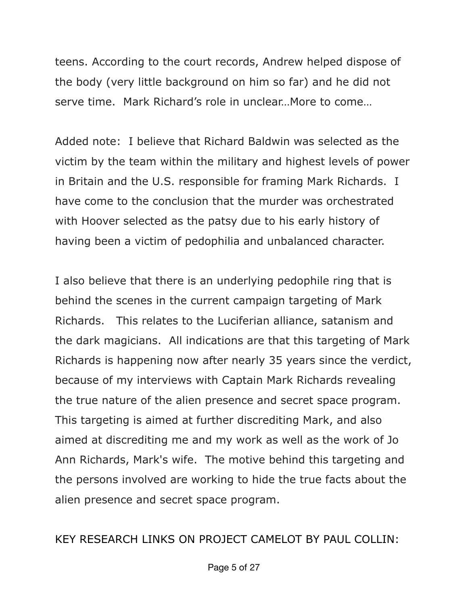teens. According to the court records, Andrew helped dispose of the body (very little background on him so far) and he did not serve time. Mark Richard's role in unclear…More to come…

Added note: I believe that Richard Baldwin was selected as the victim by the team within the military and highest levels of power in Britain and the U.S. responsible for framing Mark Richards. I have come to the conclusion that the murder was orchestrated with Hoover selected as the patsy due to his early history of having been a victim of pedophilia and unbalanced character.

I also believe that there is an underlying pedophile ring that is behind the scenes in the current campaign targeting of Mark Richards. This relates to the Luciferian alliance, satanism and the dark magicians. All indications are that this targeting of Mark Richards is happening now after nearly 35 years since the verdict, because of my interviews with Captain Mark Richards revealing the true nature of the alien presence and secret space program. This targeting is aimed at further discrediting Mark, and also aimed at discrediting me and my work as well as the work of Jo Ann Richards, Mark's wife. The motive behind this targeting and the persons involved are working to hide the true facts about the alien presence and secret space program.

# KEY RESEARCH LINKS ON PROJECT CAMELOT BY PAUL COLLIN: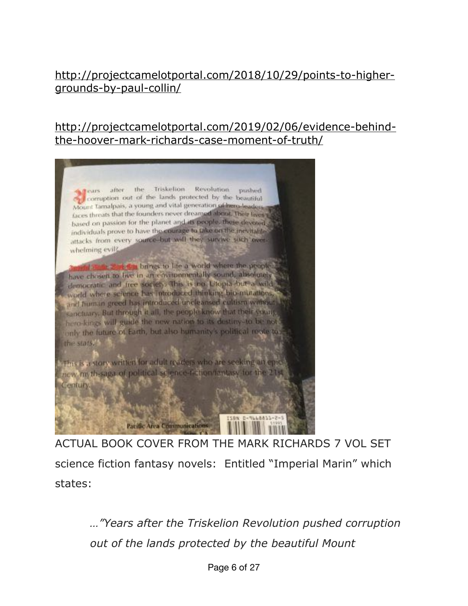# [http://projectcamelotportal.com/2018/10/29/points-to-higher](http://projectcamelotportal.com/2018/10/29/points-to-higher-grounds-by-paul-collin/)[grounds-by-paul-collin/](http://projectcamelotportal.com/2018/10/29/points-to-higher-grounds-by-paul-collin/)

[http://projectcamelotportal.com/2019/02/06/evidence-behind](http://projectcamelotportal.com/2019/02/06/evidence-behind-the-hoover-mark-richards-case-moment-of-truth/)[the-hoover-mark-richards-case-moment-of-truth/](http://projectcamelotportal.com/2019/02/06/evidence-behind-the-hoover-mark-richards-case-moment-of-truth/)



ACTUAL BOOK COVER FROM THE MARK RICHARDS 7 VOL SET science fiction fantasy novels: Entitled "Imperial Marin" which states:

> *…"Years after the Triskelion Revolution pushed corruption out of the lands protected by the beautiful Mount*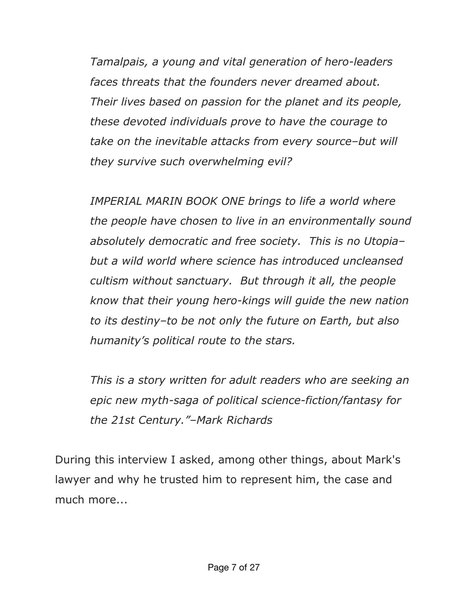*Tamalpais, a young and vital generation of hero-leaders faces threats that the founders never dreamed about. Their lives based on passion for the planet and its people, these devoted individuals prove to have the courage to take on the inevitable attacks from every source–but will they survive such overwhelming evil?* 

*IMPERIAL MARIN BOOK ONE brings to life a world where the people have chosen to live in an environmentally sound absolutely democratic and free society. This is no Utopia– but a wild world where science has introduced uncleansed cultism without sanctuary. But through it all, the people know that their young hero-kings will guide the new nation to its destiny–to be not only the future on Earth, but also humanity's political route to the stars.* 

*This is a story written for adult readers who are seeking an epic new myth-saga of political science-fiction/fantasy for the 21st Century."–Mark Richards* 

During this interview I asked, among other things, about Mark's lawyer and why he trusted him to represent him, the case and much more...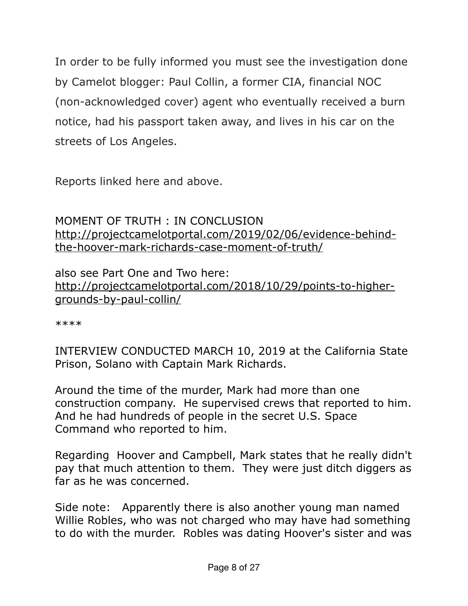In order to be fully informed you must see the investigation done by Camelot blogger: Paul Collin, a former CIA, financial NOC (non-acknowledged cover) agent who eventually received a burn notice, had his passport taken away, and lives in his car on the streets of Los Angeles.

Reports linked here and above.

MOMENT OF TRUTH : IN CONCLUSION [http://projectcamelotportal.com/2019/02/06/evidence-behind](http://projectcamelotportal.com/2019/02/06/evidence-behind-the-hoover-mark-richards-case-moment-of-truth/)[the-hoover-mark-richards-case-moment-of-truth/](http://projectcamelotportal.com/2019/02/06/evidence-behind-the-hoover-mark-richards-case-moment-of-truth/)

also see Part One and Two here: [http://projectcamelotportal.com/2018/10/29/points-to-higher](http://projectcamelotportal.com/2018/10/29/points-to-higher-grounds-by-paul-collin/)[grounds-by-paul-collin/](http://projectcamelotportal.com/2018/10/29/points-to-higher-grounds-by-paul-collin/)

\*\*\*\*

INTERVIEW CONDUCTED MARCH 10, 2019 at the California State Prison, Solano with Captain Mark Richards.

Around the time of the murder, Mark had more than one construction company. He supervised crews that reported to him. And he had hundreds of people in the secret U.S. Space Command who reported to him.

Regarding Hoover and Campbell, Mark states that he really didn't pay that much attention to them. They were just ditch diggers as far as he was concerned.

Side note: Apparently there is also another young man named Willie Robles, who was not charged who may have had something to do with the murder. Robles was dating Hoover's sister and was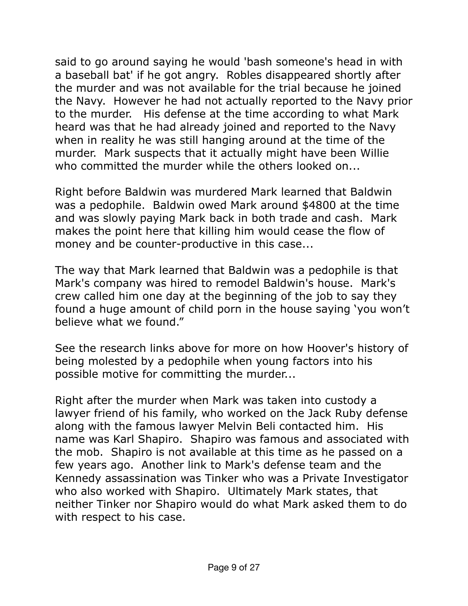said to go around saying he would 'bash someone's head in with a baseball bat' if he got angry. Robles disappeared shortly after the murder and was not available for the trial because he joined the Navy. However he had not actually reported to the Navy prior to the murder. His defense at the time according to what Mark heard was that he had already joined and reported to the Navy when in reality he was still hanging around at the time of the murder. Mark suspects that it actually might have been Willie who committed the murder while the others looked on...

Right before Baldwin was murdered Mark learned that Baldwin was a pedophile. Baldwin owed Mark around \$4800 at the time and was slowly paying Mark back in both trade and cash. Mark makes the point here that killing him would cease the flow of money and be counter-productive in this case...

The way that Mark learned that Baldwin was a pedophile is that Mark's company was hired to remodel Baldwin's house. Mark's crew called him one day at the beginning of the job to say they found a huge amount of child porn in the house saying 'you won't believe what we found."

See the research links above for more on how Hoover's history of being molested by a pedophile when young factors into his possible motive for committing the murder...

Right after the murder when Mark was taken into custody a lawyer friend of his family, who worked on the Jack Ruby defense along with the famous lawyer Melvin Beli contacted him. His name was Karl Shapiro. Shapiro was famous and associated with the mob. Shapiro is not available at this time as he passed on a few years ago. Another link to Mark's defense team and the Kennedy assassination was Tinker who was a Private Investigator who also worked with Shapiro. Ultimately Mark states, that neither Tinker nor Shapiro would do what Mark asked them to do with respect to his case.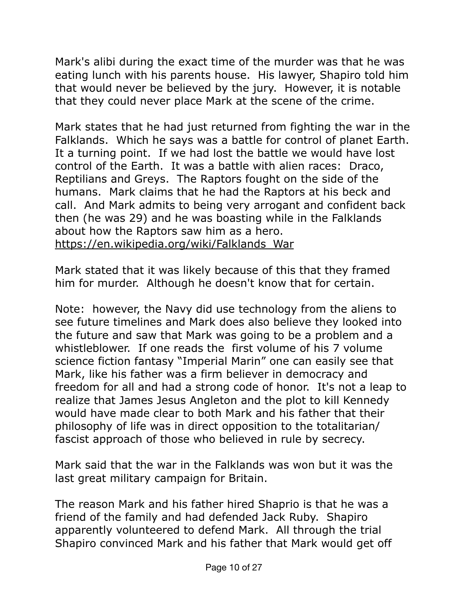Mark's alibi during the exact time of the murder was that he was eating lunch with his parents house. His lawyer, Shapiro told him that would never be believed by the jury. However, it is notable that they could never place Mark at the scene of the crime.

Mark states that he had just returned from fighting the war in the Falklands. Which he says was a battle for control of planet Earth. It a turning point. If we had lost the battle we would have lost control of the Earth. It was a battle with alien races: Draco, Reptilians and Greys. The Raptors fought on the side of the humans. Mark claims that he had the Raptors at his beck and call. And Mark admits to being very arrogant and confident back then (he was 29) and he was boasting while in the Falklands about how the Raptors saw him as a hero. [https://en.wikipedia.org/wiki/Falklands\\_War](https://en.wikipedia.org/wiki/Falklands_War)

Mark stated that it was likely because of this that they framed him for murder. Although he doesn't know that for certain.

Note: however, the Navy did use technology from the aliens to see future timelines and Mark does also believe they looked into the future and saw that Mark was going to be a problem and a whistleblower. If one reads the first volume of his 7 volume science fiction fantasy "Imperial Marin" one can easily see that Mark, like his father was a firm believer in democracy and freedom for all and had a strong code of honor. It's not a leap to realize that James Jesus Angleton and the plot to kill Kennedy would have made clear to both Mark and his father that their philosophy of life was in direct opposition to the totalitarian/ fascist approach of those who believed in rule by secrecy.

Mark said that the war in the Falklands was won but it was the last great military campaign for Britain.

The reason Mark and his father hired Shaprio is that he was a friend of the family and had defended Jack Ruby. Shapiro apparently volunteered to defend Mark. All through the trial Shapiro convinced Mark and his father that Mark would get off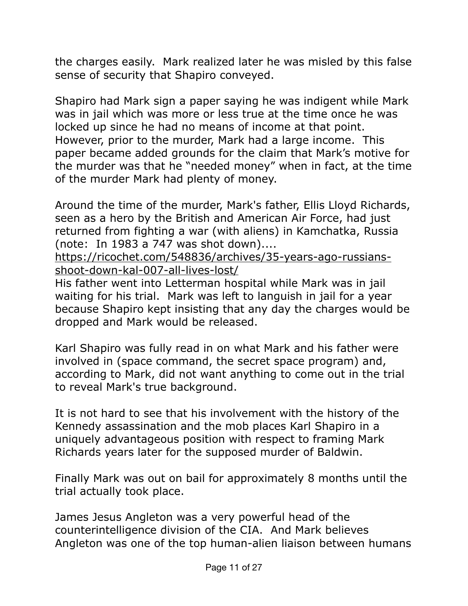the charges easily. Mark realized later he was misled by this false sense of security that Shapiro conveyed.

Shapiro had Mark sign a paper saying he was indigent while Mark was in jail which was more or less true at the time once he was locked up since he had no means of income at that point. However, prior to the murder, Mark had a large income. This paper became added grounds for the claim that Mark's motive for the murder was that he "needed money" when in fact, at the time of the murder Mark had plenty of money.

Around the time of the murder, Mark's father, Ellis Lloyd Richards, seen as a hero by the British and American Air Force, had just returned from fighting a war (with aliens) in Kamchatka, Russia (note: In 1983 a 747 was shot down)....

[https://ricochet.com/548836/archives/35-years-ago-russians](https://ricochet.com/548836/archives/35-years-ago-russians-shoot-down-kal-007-all-lives-lost/)[shoot-down-kal-007-all-lives-lost/](https://ricochet.com/548836/archives/35-years-ago-russians-shoot-down-kal-007-all-lives-lost/)

His father went into Letterman hospital while Mark was in jail waiting for his trial. Mark was left to languish in jail for a year because Shapiro kept insisting that any day the charges would be dropped and Mark would be released.

Karl Shapiro was fully read in on what Mark and his father were involved in (space command, the secret space program) and, according to Mark, did not want anything to come out in the trial to reveal Mark's true background.

It is not hard to see that his involvement with the history of the Kennedy assassination and the mob places Karl Shapiro in a uniquely advantageous position with respect to framing Mark Richards years later for the supposed murder of Baldwin.

Finally Mark was out on bail for approximately 8 months until the trial actually took place.

James Jesus Angleton was a very powerful head of the counterintelligence division of the CIA. And Mark believes Angleton was one of the top human-alien liaison between humans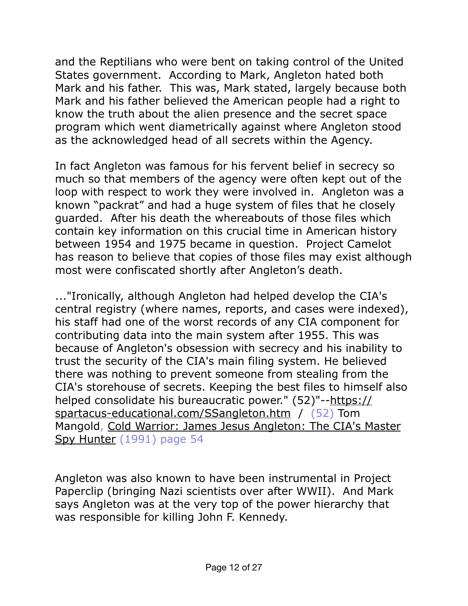and the Reptilians who were bent on taking control of the United States government. According to Mark, Angleton hated both Mark and his father. This was, Mark stated, largely because both Mark and his father believed the American people had a right to know the truth about the alien presence and the secret space program which went diametrically against where Angleton stood as the acknowledged head of all secrets within the Agency.

In fact Angleton was famous for his fervent belief in secrecy so much so that members of the agency were often kept out of the loop with respect to work they were involved in. Angleton was a known "packrat" and had a huge system of files that he closely guarded. After his death the whereabouts of those files which contain key information on this crucial time in American history between 1954 and 1975 became in question. Project Camelot has reason to believe that copies of those files may exist although most were confiscated shortly after Angleton's death.

..."Ironically, although Angleton had helped develop the CIA's central registry (where names, reports, and cases were indexed), his staff had one of the worst records of any CIA component for contributing data into the main system after 1955. This was because of Angleton's obsession with secrecy and his inability to trust the security of the CIA's main filing system. He believed there was nothing to prevent someone from stealing from the CIA's storehouse of secrets. Keeping the best files to himself also helped consolidate his bureaucratic power." (52)"--[https://](https://spartacus-educational.com/SSangleton.htm) [spartacus-educational.com/SSangleton.htm](https://spartacus-educational.com/SSangleton.htm) / (52) [Tom](https://en.wikipedia.org/wiki/Tom_Mangold)  [Mangold](https://en.wikipedia.org/wiki/Tom_Mangold)[, Cold Warrior: James Jesus Angleton: The CIA's Master](http://www.amazon.co.uk/Cold-Warrior-Angleton-Master-Hunter/dp/067169748X/ref=sr_1_1?s=books&ie=UTF8&qid=1412876927&sr=1-1&keywords=Cold+Warrior%3A+James+Jesus+Angleton%3A+The+CIA%27s+Master+Spy+Hunter)  [Spy Hunter](http://www.amazon.co.uk/Cold-Warrior-Angleton-Master-Hunter/dp/067169748X/ref=sr_1_1?s=books&ie=UTF8&qid=1412876927&sr=1-1&keywords=Cold+Warrior%3A+James+Jesus+Angleton%3A+The+CIA%27s+Master+Spy+Hunter) (1991) page 54

Angleton was also known to have been instrumental in Project Paperclip (bringing Nazi scientists over after WWII). And Mark says Angleton was at the very top of the power hierarchy that was responsible for killing John F. Kennedy.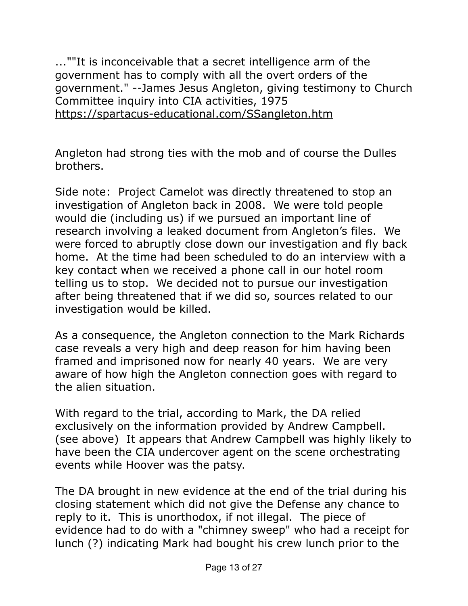...""It is inconceivable that a secret intelligence arm of the government has to comply with all the overt orders of the government." --James Jesus Angleton, giving testimony to Church Committee inquiry into CIA activities, 1975 <https://spartacus-educational.com/SSangleton.htm>

Angleton had strong ties with the mob and of course the Dulles brothers.

Side note: Project Camelot was directly threatened to stop an investigation of Angleton back in 2008. We were told people would die (including us) if we pursued an important line of research involving a leaked document from Angleton's files. We were forced to abruptly close down our investigation and fly back home. At the time had been scheduled to do an interview with a key contact when we received a phone call in our hotel room telling us to stop. We decided not to pursue our investigation after being threatened that if we did so, sources related to our investigation would be killed.

As a consequence, the Angleton connection to the Mark Richards case reveals a very high and deep reason for him having been framed and imprisoned now for nearly 40 years. We are very aware of how high the Angleton connection goes with regard to the alien situation.

With regard to the trial, according to Mark, the DA relied exclusively on the information provided by Andrew Campbell. (see above) It appears that Andrew Campbell was highly likely to have been the CIA undercover agent on the scene orchestrating events while Hoover was the patsy.

The DA brought in new evidence at the end of the trial during his closing statement which did not give the Defense any chance to reply to it. This is unorthodox, if not illegal. The piece of evidence had to do with a "chimney sweep" who had a receipt for lunch (?) indicating Mark had bought his crew lunch prior to the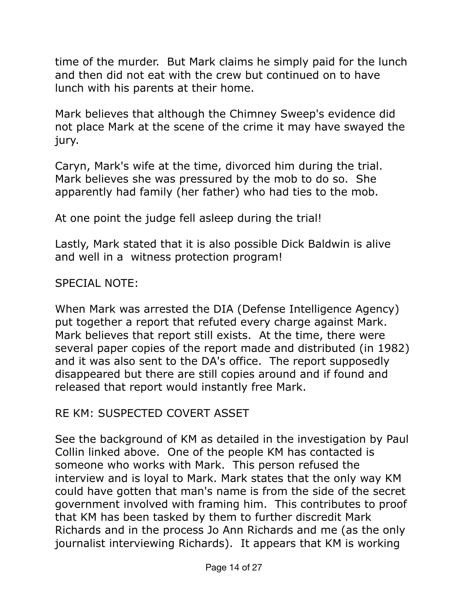time of the murder. But Mark claims he simply paid for the lunch and then did not eat with the crew but continued on to have lunch with his parents at their home.

Mark believes that although the Chimney Sweep's evidence did not place Mark at the scene of the crime it may have swayed the jury.

Caryn, Mark's wife at the time, divorced him during the trial. Mark believes she was pressured by the mob to do so. She apparently had family (her father) who had ties to the mob.

At one point the judge fell asleep during the trial!

Lastly, Mark stated that it is also possible Dick Baldwin is alive and well in a witness protection program!

## SPECIAL NOTE:

When Mark was arrested the DIA (Defense Intelligence Agency) put together a report that refuted every charge against Mark. Mark believes that report still exists. At the time, there were several paper copies of the report made and distributed (in 1982) and it was also sent to the DA's office. The report supposedly disappeared but there are still copies around and if found and released that report would instantly free Mark.

# RE KM: SUSPECTED COVERT ASSET

See the background of KM as detailed in the investigation by Paul Collin linked above. One of the people KM has contacted is someone who works with Mark. This person refused the interview and is loyal to Mark. Mark states that the only way KM could have gotten that man's name is from the side of the secret government involved with framing him. This contributes to proof that KM has been tasked by them to further discredit Mark Richards and in the process Jo Ann Richards and me (as the only journalist interviewing Richards). It appears that KM is working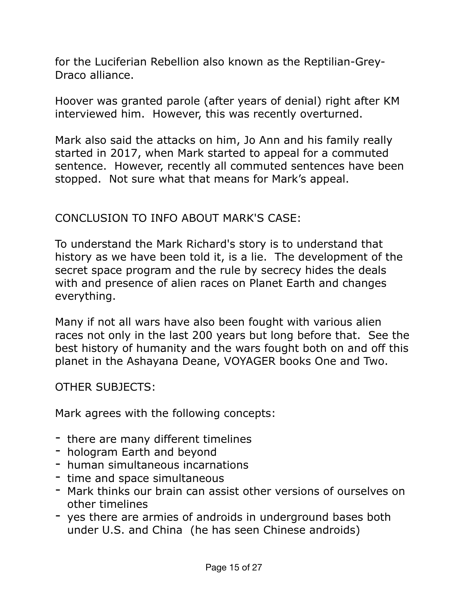for the Luciferian Rebellion also known as the Reptilian-Grey-Draco alliance.

Hoover was granted parole (after years of denial) right after KM interviewed him. However, this was recently overturned.

Mark also said the attacks on him, Jo Ann and his family really started in 2017, when Mark started to appeal for a commuted sentence. However, recently all commuted sentences have been stopped. Not sure what that means for Mark's appeal.

# CONCLUSION TO INFO ABOUT MARK'S CASE:

To understand the Mark Richard's story is to understand that history as we have been told it, is a lie. The development of the secret space program and the rule by secrecy hides the deals with and presence of alien races on Planet Earth and changes everything.

Many if not all wars have also been fought with various alien races not only in the last 200 years but long before that. See the best history of humanity and the wars fought both on and off this planet in the Ashayana Deane, VOYAGER books One and Two.

OTHER SUBJECTS:

Mark agrees with the following concepts:

- there are many different timelines
- hologram Earth and beyond
- human simultaneous incarnations
- time and space simultaneous
- Mark thinks our brain can assist other versions of ourselves on other timelines
- yes there are armies of androids in underground bases both under U.S. and China (he has seen Chinese androids)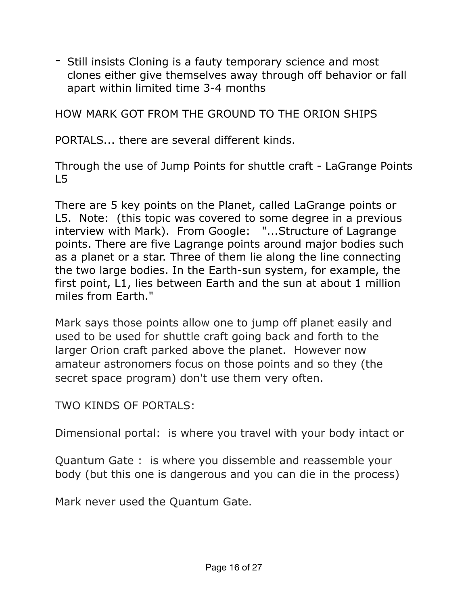- Still insists Cloning is a fauty temporary science and most clones either give themselves away through off behavior or fall apart within limited time 3-4 months

HOW MARK GOT FROM THE GROUND TO THE ORION SHIPS

PORTALS... there are several different kinds.

Through the use of Jump Points for shuttle craft - LaGrange Points L5

There are 5 key points on the Planet, called LaGrange points or L5. Note: (this topic was covered to some degree in a previous interview with Mark). From Google: "...Structure of Lagrange points. There are five Lagrange points around major bodies such as a planet or a star. Three of them lie along the line connecting the two large bodies. In the Earth-sun system, for example, the first point, L1, lies between Earth and the sun at about 1 million miles from Earth."

Mark says those points allow one to jump off planet easily and used to be used for shuttle craft going back and forth to the larger Orion craft parked above the planet. However now amateur astronomers focus on those points and so they (the secret space program) don't use them very often.

TWO KINDS OF PORTALS:

Dimensional portal: is where you travel with your body intact or

Quantum Gate : is where you dissemble and reassemble your body (but this one is dangerous and you can die in the process)

Mark never used the Quantum Gate.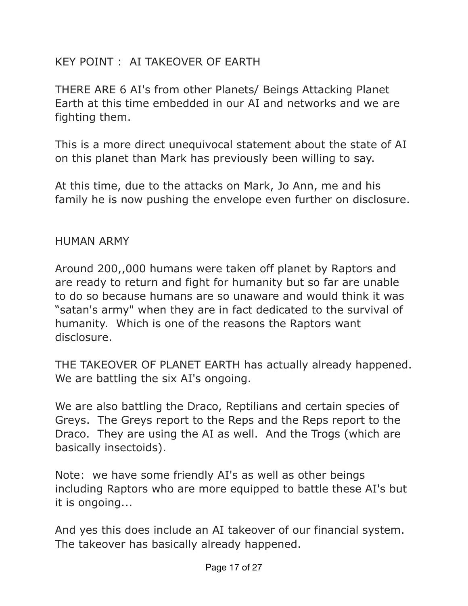# KEY POINT : AI TAKEOVER OF EARTH

THERE ARE 6 AI's from other Planets/ Beings Attacking Planet Earth at this time embedded in our AI and networks and we are fighting them.

This is a more direct unequivocal statement about the state of AI on this planet than Mark has previously been willing to say.

At this time, due to the attacks on Mark, Jo Ann, me and his family he is now pushing the envelope even further on disclosure.

## HUMAN ARMY

Around 200,,000 humans were taken off planet by Raptors and are ready to return and fight for humanity but so far are unable to do so because humans are so unaware and would think it was "satan's army" when they are in fact dedicated to the survival of humanity. Which is one of the reasons the Raptors want disclosure.

THE TAKEOVER OF PLANET EARTH has actually already happened. We are battling the six AI's ongoing.

We are also battling the Draco, Reptilians and certain species of Greys. The Greys report to the Reps and the Reps report to the Draco. They are using the AI as well. And the Trogs (which are basically insectoids).

Note: we have some friendly AI's as well as other beings including Raptors who are more equipped to battle these AI's but it is ongoing...

And yes this does include an AI takeover of our financial system. The takeover has basically already happened.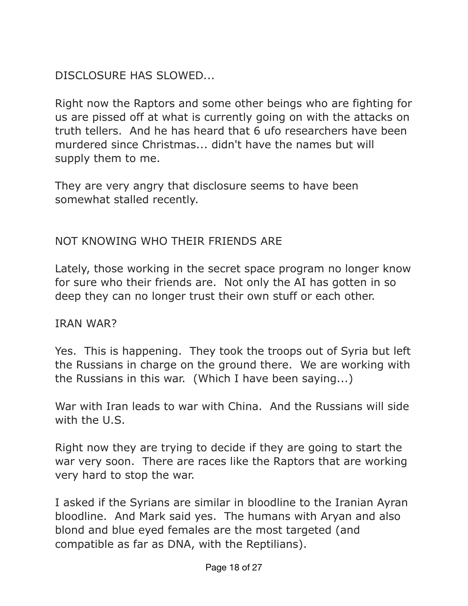DISCLOSURE HAS SLOWED...

Right now the Raptors and some other beings who are fighting for us are pissed off at what is currently going on with the attacks on truth tellers. And he has heard that 6 ufo researchers have been murdered since Christmas... didn't have the names but will supply them to me.

They are very angry that disclosure seems to have been somewhat stalled recently.

# NOT KNOWING WHO THEIR FRIENDS ARE

Lately, those working in the secret space program no longer know for sure who their friends are. Not only the AI has gotten in so deep they can no longer trust their own stuff or each other.

## IRAN WAR?

Yes. This is happening. They took the troops out of Syria but left the Russians in charge on the ground there. We are working with the Russians in this war. (Which I have been saying...)

War with Iran leads to war with China. And the Russians will side with the U.S.

Right now they are trying to decide if they are going to start the war very soon. There are races like the Raptors that are working very hard to stop the war.

I asked if the Syrians are similar in bloodline to the Iranian Ayran bloodline. And Mark said yes. The humans with Aryan and also blond and blue eyed females are the most targeted (and compatible as far as DNA, with the Reptilians).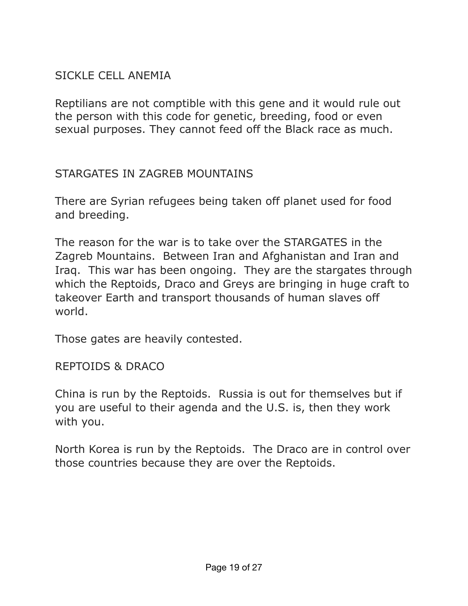# SICKLE CELL ANEMIA

Reptilians are not comptible with this gene and it would rule out the person with this code for genetic, breeding, food or even sexual purposes. They cannot feed off the Black race as much.

# STARGATES IN ZAGREB MOUNTAINS

There are Syrian refugees being taken off planet used for food and breeding.

The reason for the war is to take over the STARGATES in the Zagreb Mountains. Between Iran and Afghanistan and Iran and Iraq. This war has been ongoing. They are the stargates through which the Reptoids, Draco and Greys are bringing in huge craft to takeover Earth and transport thousands of human slaves off world.

Those gates are heavily contested.

REPTOIDS & DRACO

China is run by the Reptoids. Russia is out for themselves but if you are useful to their agenda and the U.S. is, then they work with you.

North Korea is run by the Reptoids. The Draco are in control over those countries because they are over the Reptoids.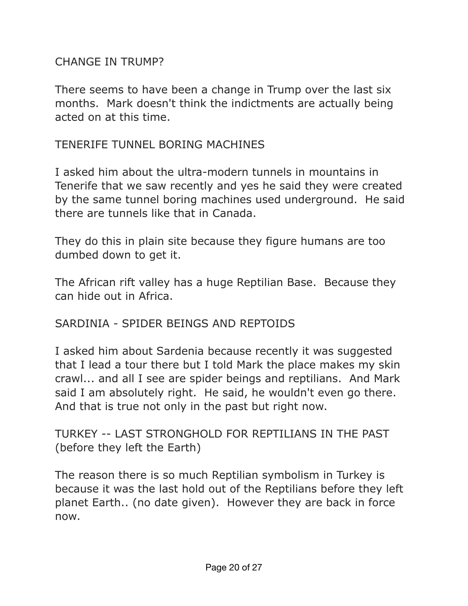## CHANGE IN TRUMP?

There seems to have been a change in Trump over the last six months. Mark doesn't think the indictments are actually being acted on at this time.

## TENERIFE TUNNEL BORING MACHINES

I asked him about the ultra-modern tunnels in mountains in Tenerife that we saw recently and yes he said they were created by the same tunnel boring machines used underground. He said there are tunnels like that in Canada.

They do this in plain site because they figure humans are too dumbed down to get it.

The African rift valley has a huge Reptilian Base. Because they can hide out in Africa.

## SARDINIA - SPIDER BEINGS AND REPTOIDS

I asked him about Sardenia because recently it was suggested that I lead a tour there but I told Mark the place makes my skin crawl... and all I see are spider beings and reptilians. And Mark said I am absolutely right. He said, he wouldn't even go there. And that is true not only in the past but right now.

TURKEY -- LAST STRONGHOLD FOR REPTILIANS IN THE PAST (before they left the Earth)

The reason there is so much Reptilian symbolism in Turkey is because it was the last hold out of the Reptilians before they left planet Earth.. (no date given). However they are back in force now.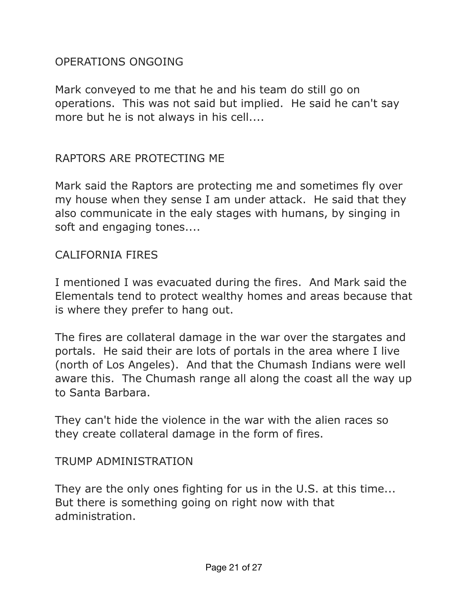## OPERATIONS ONGOING

Mark conveyed to me that he and his team do still go on operations. This was not said but implied. He said he can't say more but he is not always in his cell....

## RAPTORS ARE PROTECTING ME

Mark said the Raptors are protecting me and sometimes fly over my house when they sense I am under attack. He said that they also communicate in the ealy stages with humans, by singing in soft and engaging tones....

#### CALIFORNIA FIRES

I mentioned I was evacuated during the fires. And Mark said the Elementals tend to protect wealthy homes and areas because that is where they prefer to hang out.

The fires are collateral damage in the war over the stargates and portals. He said their are lots of portals in the area where I live (north of Los Angeles). And that the Chumash Indians were well aware this. The Chumash range all along the coast all the way up to Santa Barbara.

They can't hide the violence in the war with the alien races so they create collateral damage in the form of fires.

#### TRUMP ADMINISTRATION

They are the only ones fighting for us in the U.S. at this time... But there is something going on right now with that administration.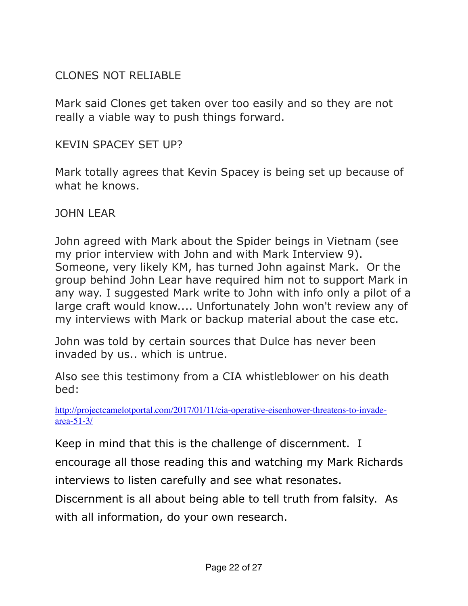# CLONES NOT RELIABLE

Mark said Clones get taken over too easily and so they are not really a viable way to push things forward.

### KEVIN SPACEY SET UP?

Mark totally agrees that Kevin Spacey is being set up because of what he knows.

### JOHN LEAR

John agreed with Mark about the Spider beings in Vietnam (see my prior interview with John and with Mark Interview 9). Someone, very likely KM, has turned John against Mark. Or the group behind John Lear have required him not to support Mark in any way. I suggested Mark write to John with info only a pilot of a large craft would know.... Unfortunately John won't review any of my interviews with Mark or backup material about the case etc.

John was told by certain sources that Dulce has never been invaded by us.. which is untrue.

Also see this testimony from a CIA whistleblower on his death bed:

[http://projectcamelotportal.com/2017/01/11/cia-operative-eisenhower-threatens-to-invade](http://projectcamelotportal.com/2017/01/11/cia-operative-eisenhower-threatens-to-invade-area-51-3/)[area-51-3/](http://projectcamelotportal.com/2017/01/11/cia-operative-eisenhower-threatens-to-invade-area-51-3/)

Keep in mind that this is the challenge of discernment. I encourage all those reading this and watching my Mark Richards interviews to listen carefully and see what resonates.

Discernment is all about being able to tell truth from falsity. As with all information, do your own research.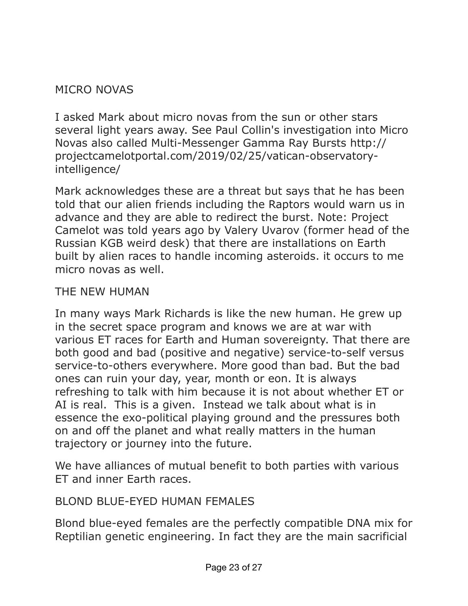# MICRO NOVAS

I asked Mark about micro novas from the sun or other stars several light years away. See Paul Collin's investigation into Micro Novas also called Multi-Messenger Gamma Ray Bursts http:// projectcamelotportal.com/2019/02/25/vatican-observatoryintelligence/

Mark acknowledges these are a threat but says that he has been told that our alien friends including the Raptors would warn us in advance and they are able to redirect the burst. Note: Project Camelot was told years ago by Valery Uvarov (former head of the Russian KGB weird desk) that there are installations on Earth built by alien races to handle incoming asteroids. it occurs to me micro novas as well.

### THE NEW HUMAN

In many ways Mark Richards is like the new human. He grew up in the secret space program and knows we are at war with various ET races for Earth and Human sovereignty. That there are both good and bad (positive and negative) service-to-self versus service-to-others everywhere. More good than bad. But the bad ones can ruin your day, year, month or eon. It is always refreshing to talk with him because it is not about whether ET or AI is real. This is a given. Instead we talk about what is in essence the exo-political playing ground and the pressures both on and off the planet and what really matters in the human trajectory or journey into the future.

We have alliances of mutual benefit to both parties with various ET and inner Earth races.

## BLOND BLUE-EYED HUMAN FEMALES

Blond blue-eyed females are the perfectly compatible DNA mix for Reptilian genetic engineering. In fact they are the main sacrificial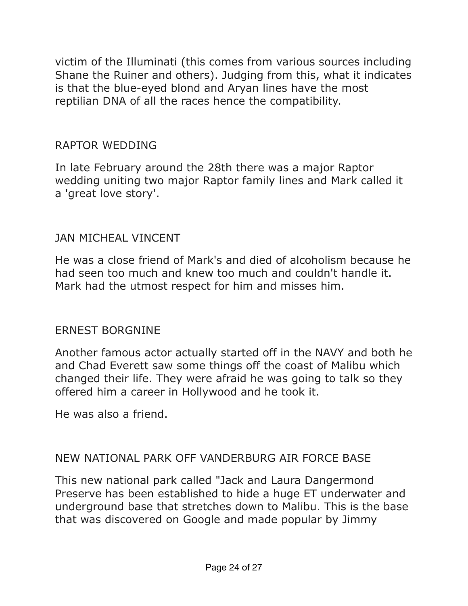victim of the Illuminati (this comes from various sources including Shane the Ruiner and others). Judging from this, what it indicates is that the blue-eyed blond and Aryan lines have the most reptilian DNA of all the races hence the compatibility.

### RAPTOR WEDDING

In late February around the 28th there was a major Raptor wedding uniting two major Raptor family lines and Mark called it a 'great love story'.

#### JAN MICHEAL VINCENT

He was a close friend of Mark's and died of alcoholism because he had seen too much and knew too much and couldn't handle it. Mark had the utmost respect for him and misses him.

#### ERNEST BORGNINE

Another famous actor actually started off in the NAVY and both he and Chad Everett saw some things off the coast of Malibu which changed their life. They were afraid he was going to talk so they offered him a career in Hollywood and he took it.

He was also a friend.

## NEW NATIONAL PARK OFF VANDERBURG AIR FORCE BASE

This new national park called "Jack and Laura Dangermond Preserve has been established to hide a huge ET underwater and underground base that stretches down to Malibu. This is the base that was discovered on Google and made popular by Jimmy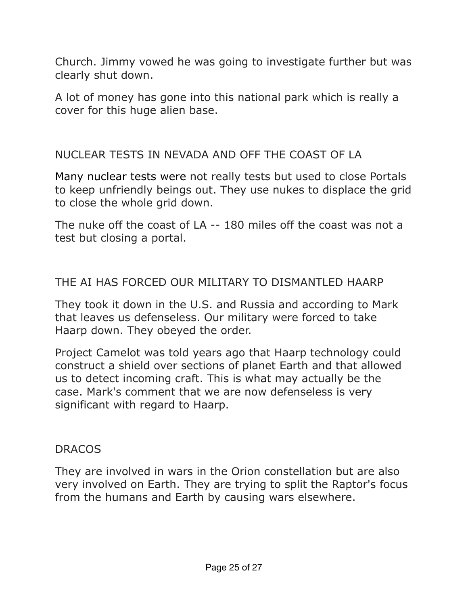Church. Jimmy vowed he was going to investigate further but was clearly shut down.

A lot of money has gone into this national park which is really a cover for this huge alien base.

## NUCLEAR TESTS IN NEVADA AND OFF THE COAST OF LA

Many nuclear tests were not really tests but used to close Portals to keep unfriendly beings out. They use nukes to displace the grid to close the whole grid down.

The nuke off the coast of LA -- 180 miles off the coast was not a test but closing a portal.

### THE AI HAS FORCED OUR MILITARY TO DISMANTLED HAARP

They took it down in the U.S. and Russia and according to Mark that leaves us defenseless. Our military were forced to take Haarp down. They obeyed the order.

Project Camelot was told years ago that Haarp technology could construct a shield over sections of planet Earth and that allowed us to detect incoming craft. This is what may actually be the case. Mark's comment that we are now defenseless is very significant with regard to Haarp.

#### DRACOS

They are involved in wars in the Orion constellation but are also very involved on Earth. They are trying to split the Raptor's focus from the humans and Earth by causing wars elsewhere.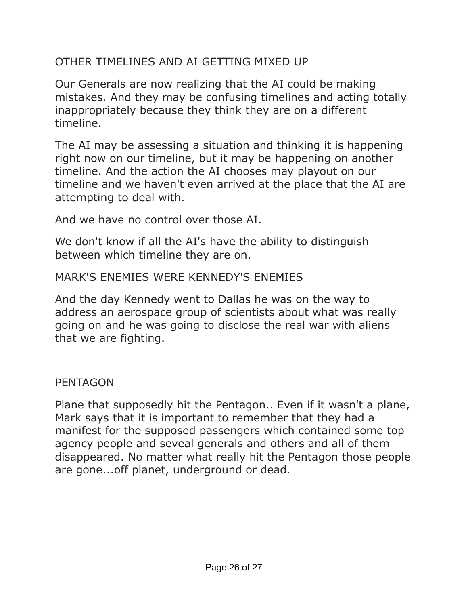# OTHER TIMELINES AND AI GETTING MIXED UP

Our Generals are now realizing that the AI could be making mistakes. And they may be confusing timelines and acting totally inappropriately because they think they are on a different timeline.

The AI may be assessing a situation and thinking it is happening right now on our timeline, but it may be happening on another timeline. And the action the AI chooses may playout on our timeline and we haven't even arrived at the place that the AI are attempting to deal with.

And we have no control over those AI.

We don't know if all the AI's have the ability to distinguish between which timeline they are on.

MARK'S ENEMIES WERE KENNEDY'S ENEMIES

And the day Kennedy went to Dallas he was on the way to address an aerospace group of scientists about what was really going on and he was going to disclose the real war with aliens that we are fighting.

## PENTAGON

Plane that supposedly hit the Pentagon.. Even if it wasn't a plane, Mark says that it is important to remember that they had a manifest for the supposed passengers which contained some top agency people and seveal generals and others and all of them disappeared. No matter what really hit the Pentagon those people are gone...off planet, underground or dead.